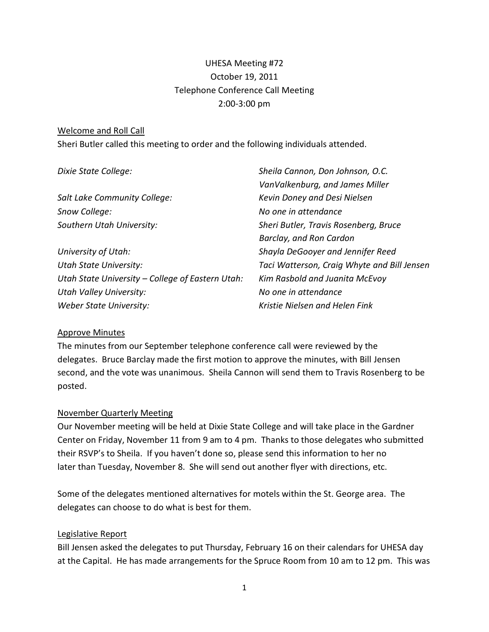# UHESA Meeting #72 October 19, 2011 Telephone Conference Call Meeting 2:00-3:00 pm

#### Welcome and Roll Call

Sheri Butler called this meeting to order and the following individuals attended.

| Dixie State College:                             | Sheila Cannon, Don Johnson, O.C.            |
|--------------------------------------------------|---------------------------------------------|
|                                                  | VanValkenburg, and James Miller             |
| Salt Lake Community College:                     | Kevin Doney and Desi Nielsen                |
| Snow College:                                    | No one in attendance                        |
| Southern Utah University:                        | Sheri Butler, Travis Rosenberg, Bruce       |
|                                                  | Barclay, and Ron Cardon                     |
| University of Utah:                              | Shayla DeGooyer and Jennifer Reed           |
| <b>Utah State University:</b>                    | Taci Watterson, Craig Whyte and Bill Jensen |
| Utah State University – College of Eastern Utah: | Kim Rasbold and Juanita McEvoy              |
| <b>Utah Valley University:</b>                   | No one in attendance                        |
| Weber State University:                          | Kristie Nielsen and Helen Fink              |

#### Approve Minutes

The minutes from our September telephone conference call were reviewed by the delegates. Bruce Barclay made the first motion to approve the minutes, with Bill Jensen second, and the vote was unanimous. Sheila Cannon will send them to Travis Rosenberg to be posted.

#### November Quarterly Meeting

Our November meeting will be held at Dixie State College and will take place in the Gardner Center on Friday, November 11 from 9 am to 4 pm. Thanks to those delegates who submitted their RSVP's to Sheila. If you haven't done so, please send this information to her no later than Tuesday, November 8. She will send out another flyer with directions, etc.

Some of the delegates mentioned alternatives for motels within the St. George area. The delegates can choose to do what is best for them.

#### Legislative Report

Bill Jensen asked the delegates to put Thursday, February 16 on their calendars for UHESA day at the Capital. He has made arrangements for the Spruce Room from 10 am to 12 pm. This was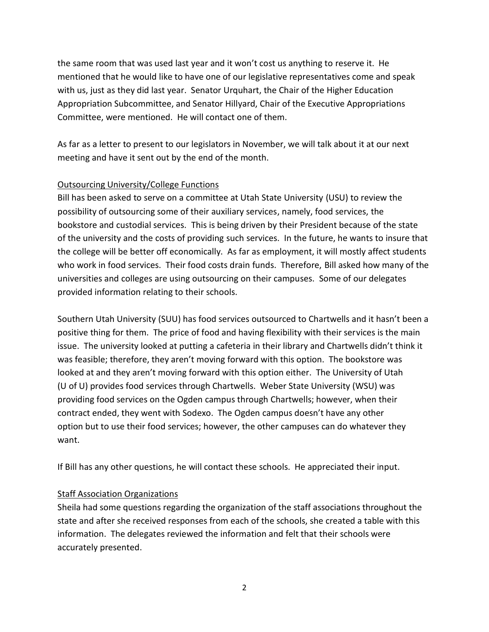the same room that was used last year and it won't cost us anything to reserve it. He mentioned that he would like to have one of our legislative representatives come and speak with us, just as they did last year. Senator Urquhart, the Chair of the Higher Education Appropriation Subcommittee, and Senator Hillyard, Chair of the Executive Appropriations Committee, were mentioned. He will contact one of them.

As far as a letter to present to our legislators in November, we will talk about it at our next meeting and have it sent out by the end of the month.

### Outsourcing University/College Functions

Bill has been asked to serve on a committee at Utah State University (USU) to review the possibility of outsourcing some of their auxiliary services, namely, food services, the bookstore and custodial services. This is being driven by their President because of the state of the university and the costs of providing such services. In the future, he wants to insure that the college will be better off economically. As far as employment, it will mostly affect students who work in food services. Their food costs drain funds. Therefore, Bill asked how many of the universities and colleges are using outsourcing on their campuses. Some of our delegates provided information relating to their schools.

Southern Utah University (SUU) has food services outsourced to Chartwells and it hasn't been a positive thing for them. The price of food and having flexibility with their services is the main issue. The university looked at putting a cafeteria in their library and Chartwells didn't think it was feasible; therefore, they aren't moving forward with this option. The bookstore was looked at and they aren't moving forward with this option either. The University of Utah (U of U) provides food services through Chartwells. Weber State University (WSU) was providing food services on the Ogden campus through Chartwells; however, when their contract ended, they went with Sodexo. The Ogden campus doesn't have any other option but to use their food services; however, the other campuses can do whatever they want.

If Bill has any other questions, he will contact these schools. He appreciated their input.

### Staff Association Organizations

Sheila had some questions regarding the organization of the staff associations throughout the state and after she received responses from each of the schools, she created a table with this information. The delegates reviewed the information and felt that their schools were accurately presented.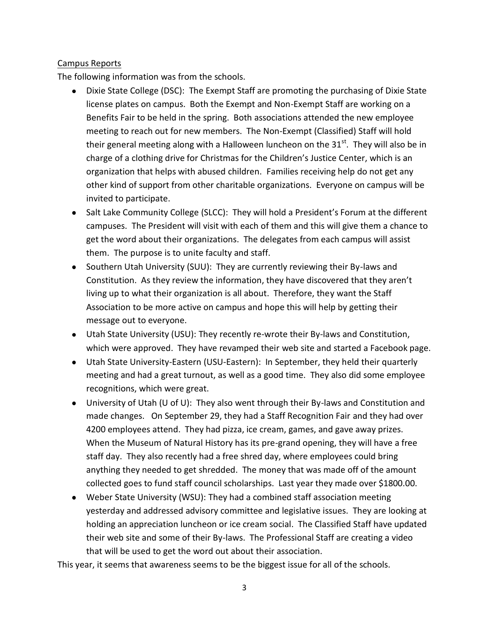### Campus Reports

The following information was from the schools.

- Dixie State College (DSC): The Exempt Staff are promoting the purchasing of Dixie State license plates on campus. Both the Exempt and Non-Exempt Staff are working on a Benefits Fair to be held in the spring. Both associations attended the new employee meeting to reach out for new members. The Non-Exempt (Classified) Staff will hold their general meeting along with a Halloween luncheon on the  $31<sup>st</sup>$ . They will also be in charge of a clothing drive for Christmas for the Children's Justice Center, which is an organization that helps with abused children. Families receiving help do not get any other kind of support from other charitable organizations. Everyone on campus will be invited to participate.
- Salt Lake Community College (SLCC): They will hold a President's Forum at the different campuses. The President will visit with each of them and this will give them a chance to get the word about their organizations. The delegates from each campus will assist them. The purpose is to unite faculty and staff.
- Southern Utah University (SUU): They are currently reviewing their By-laws and Constitution. As they review the information, they have discovered that they aren't living up to what their organization is all about. Therefore, they want the Staff Association to be more active on campus and hope this will help by getting their message out to everyone.
- Utah State University (USU): They recently re-wrote their By-laws and Constitution, which were approved. They have revamped their web site and started a Facebook page.
- Utah State University-Eastern (USU-Eastern): In September, they held their quarterly meeting and had a great turnout, as well as a good time. They also did some employee recognitions, which were great.
- University of Utah (U of U): They also went through their By-laws and Constitution and made changes. On September 29, they had a Staff Recognition Fair and they had over 4200 employees attend. They had pizza, ice cream, games, and gave away prizes. When the Museum of Natural History has its pre-grand opening, they will have a free staff day. They also recently had a free shred day, where employees could bring anything they needed to get shredded. The money that was made off of the amount collected goes to fund staff council scholarships. Last year they made over \$1800.00.
- Weber State University (WSU): They had a combined staff association meeting yesterday and addressed advisory committee and legislative issues. They are looking at holding an appreciation luncheon or ice cream social. The Classified Staff have updated their web site and some of their By-laws. The Professional Staff are creating a video that will be used to get the word out about their association.

This year, it seems that awareness seems to be the biggest issue for all of the schools.